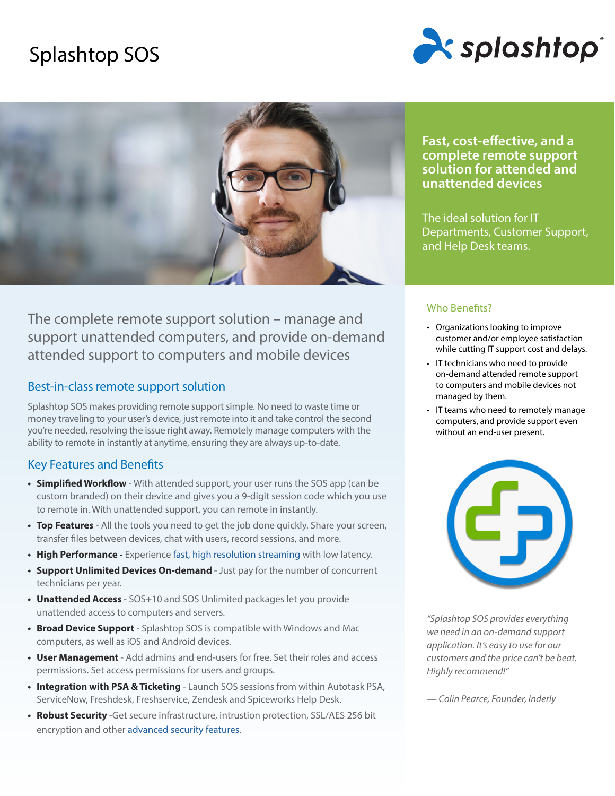# Splashtop SOS





The complete remote support solution – manage and support unattended computers, and provide on-demand attended support to computers and mobile devices

## Best-in-class remote support solution

Splashtop SOS makes providing remote support simple. No need to waste time or money traveling to your user's device, just remote into it and take control the second you're needed, resolving the issue right away. Remotely manage computers with the ability to remote in instantly at anytime, ensuring they are always up-to-date.

## Key Features and Benefits

- **• Simplified Workflow** With attended support, your user runs the SOS app (can be custom branded) on their device and gives you a 9-digit session code which you use to remote in. With unattended support, you can remote in instantly.
- **• Top Features** All the tools you need to get the job done quickly. Share your screen, transfer files between devices, chat with users, record sessions, and more.
- High Performance Experience [fast, high resolution streaming](https://www.splashtop.com/features/high-performance) with low latency.
- **• Support Unlimited Devices On-demand** Just pay for the number of concurrent technicians per year.
- **• Unattended Access**  SOS+10 and SOS Unlimited packages let you provide unattended access to computers and servers.
- **• Broad Device Support** Splashtop SOS is compatible with Windows and Mac computers, as well as iOS and Android devices.
- **• User Management**  Add admins and end-users for free. Set their roles and access permissions. Set access permissions for users and groups.
- **• Integration with PSA & Ticketing**  Launch SOS sessions from within Autotask PSA, ServiceNow, Freshdesk, Freshservice, Zendesk and Spiceworks Help Desk.
- **• Robust Security** -Get secure infrastructure, intrustion protection, SSL/AES 256 bit encryption and othe[r advanced security features](https://www.splashtop.com/security-features).

**Fast, cost-effective, and a complete remote support solution for attended and unattended devices**

The ideal solution for IT Departments, Customer Support, and Help Desk teams.

## Who Benefits?

- Organizations looking to improve customer and/or employee satisfaction while cutting IT support cost and delays.
- IT technicians who need to provide on-demand attended remote support to computers and mobile devices not managed by them.
- IT teams who need to remotely manage computers, and provide support even without an end-user present.



*"Splashtop SOS provides everything we need in an on-demand support application. It's easy to use for our customers and the price can't be beat. Highly recommend!"*

*— Colin Pearce, Founder, Inderly*